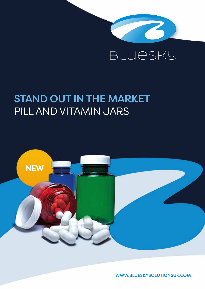

# STAND OUT IN THE MARKET PILL AND VITAMIN JARS



WWW.BLUESKYSOLUTIONSUK.COM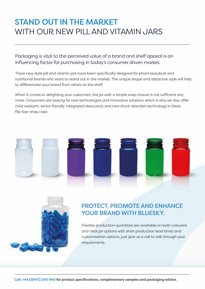# STAND OUT IN THE MARKET WITH OUR NEW PILL AND VITAMIN JARS

### Packaging is vital to the perceived value of a brand and shelf appeal is an influencing factor for purchasing in today's consumer driven market.

These new style pill and vitamin jars have been specifically designed for pharmaceutical and nutritional brands who want to stand out in the market. The unique shape and attractive style will help to differentiate your brand from others on the shelf.

When it comes to delighting your customers, the jar with a simple snap closure is not sufficient any more. Consumers are looking for new technologies and innovative solutions which is why we also offer child resistant, senior friendly, integrated desiccants and new shock absorber technology in these flip-top-snap caps.





## PROTECT, PROMOTE AND ENHANCE YOUR BRAND WITH BLUESKY.

Flexible production quantities are available on both coloured and clear jar options with short production lead times and customisation options, just give us a call to talk through your requirements.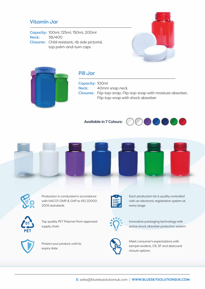#### Vitamin Jar

Capacity: 100ml, 125ml, 150ml, 200ml Neck: 38/400 Closures: Child resistant, rib side pictorial, top palm-and-turn caps





### Pill Jar

Capacity: 100ml Neck: 40mm snap neck Closures: Flip-top-snap, Flip-top-snap with moisture absorber, Flip-top-snap with shock absorber

Available in 7 Colours:







Production is conducted in accordance with HACCP, GMP & GHP to ISO 22000: 2005 standards



Top quality PET Polymer from approved supply chain



Protect your product until its expiry date



Each production lot is quality controlled with an electronic registration system at every stage.



Innovative packaging technology with active shock absorber protection system



Meet consumer's expectations with tamper evident, CR, SF and desiccant closure options